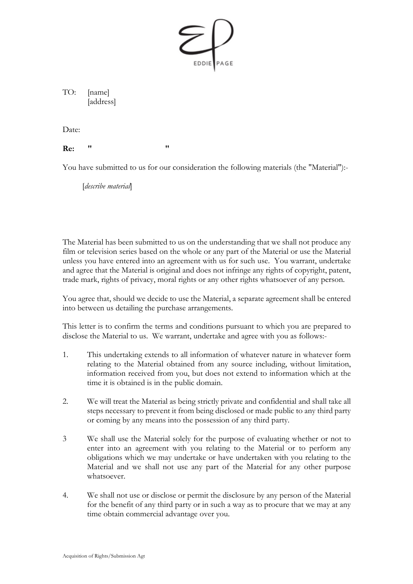

TO: [name] [address]

Date:

**Re: " "**

You have submitted to us for our consideration the following materials (the "Material"):-

[*describe material*]

The Material has been submitted to us on the understanding that we shall not produce any film or television series based on the whole or any part of the Material or use the Material unless you have entered into an agreement with us for such use. You warrant, undertake and agree that the Material is original and does not infringe any rights of copyright, patent, trade mark, rights of privacy, moral rights or any other rights whatsoever of any person.

You agree that, should we decide to use the Material, a separate agreement shall be entered into between us detailing the purchase arrangements.

This letter is to confirm the terms and conditions pursuant to which you are prepared to disclose the Material to us. We warrant, undertake and agree with you as follows:-

- 1. This undertaking extends to all information of whatever nature in whatever form relating to the Material obtained from any source including, without limitation, information received from you, but does not extend to information which at the time it is obtained is in the public domain.
- 2. We will treat the Material as being strictly private and confidential and shall take all steps necessary to prevent it from being disclosed or made public to any third party or coming by any means into the possession of any third party.
- 3 We shall use the Material solely for the purpose of evaluating whether or not to enter into an agreement with you relating to the Material or to perform any obligations which we may undertake or have undertaken with you relating to the Material and we shall not use any part of the Material for any other purpose whatsoever.
- 4. We shall not use or disclose or permit the disclosure by any person of the Material for the benefit of any third party or in such a way as to procure that we may at any time obtain commercial advantage over you.